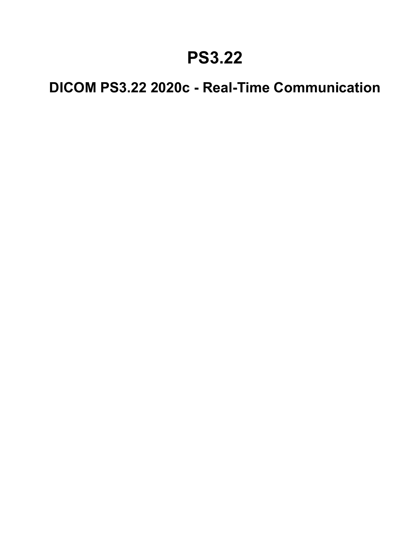### **PS3.22**

### **DICOM PS3.22 2020c - Real-Time Communication**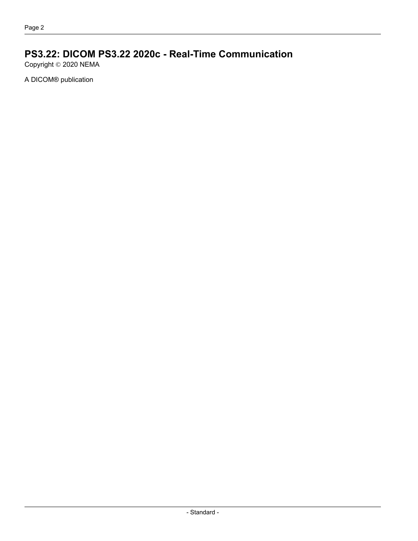#### **PS3.22: DICOM PS3.22 2020c - Real-Time Communication**

Copyright © 2020 NEMA

A DICOM® publication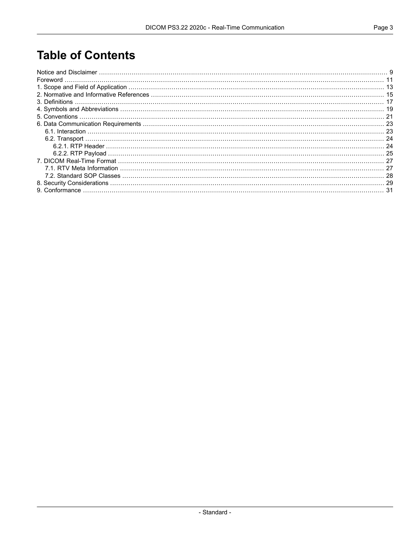#### **Table of Contents**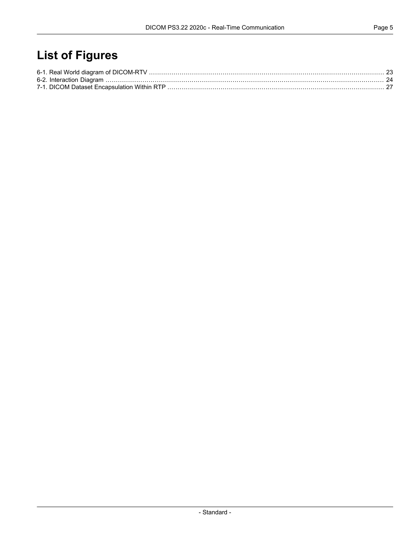### **List of Figures**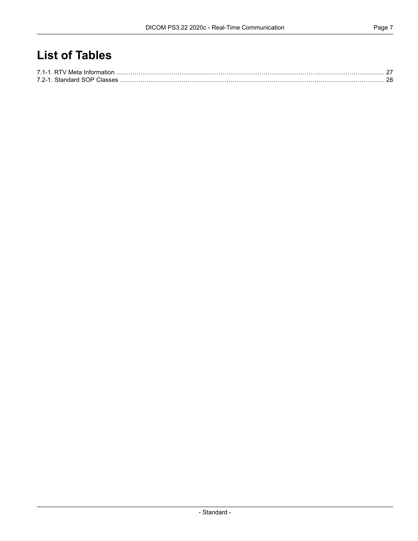### **List of Tables**

| 7.2-1 Standard SOP Classes |  |
|----------------------------|--|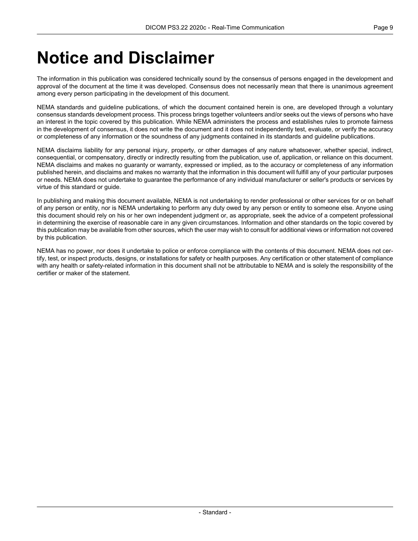## <span id="page-8-0"></span>**Notice and Disclaimer**

The information in this publication was considered technically sound by the consensus of persons engaged in the development and approval of the document at the time it was developed. Consensus does not necessarily mean that there is unanimous agreement among every person participating in the development of this document.

NEMA standards and guideline publications, of which the document contained herein is one, are developed through a voluntary consensus standards development process. This process brings together volunteers and/or seeks out the views of persons who have an interest in the topic covered by this publication. While NEMA administers the process and establishes rules to promote fairness in the development of consensus, it does not write the document and it does not independently test, evaluate, or verify the accuracy or completeness of any information or the soundness of any judgments contained in its standards and guideline publications.

NEMA disclaims liability for any personal injury, property, or other damages of any nature whatsoever, whether special, indirect, consequential, or compensatory, directly or indirectly resulting from the publication, use of, application, or reliance on this document. NEMA disclaims and makes no guaranty or warranty, expressed or implied, as to the accuracy or completeness of any information published herein, and disclaims and makes no warranty that the information in this document will fulfill any of your particular purposes or needs. NEMA does not undertake to guarantee the performance of any individual manufacturer or seller's products or services by virtue of this standard or guide.

In publishing and making this document available, NEMA is not undertaking to render professional or other services for or on behalf of any person or entity, nor is NEMA undertaking to perform any duty owed by any person or entity to someone else. Anyone using this document should rely on his or her own independent judgment or, as appropriate, seek the advice of a competent professional in determining the exercise of reasonable care in any given circumstances. Information and other standards on the topic covered by this publication may be available from other sources, which the user may wish to consult for additional views or information not covered by this publication.

NEMA has no power, nor does it undertake to police or enforce compliance with the contents of this document. NEMA does not cer tify, test, or inspect products, designs, or installations for safety or health purposes. Any certification or other statement of compliance with any health or safety-related information in this document shall not be attributable to NEMA and is solely the responsibility of the certifier or maker of the statement.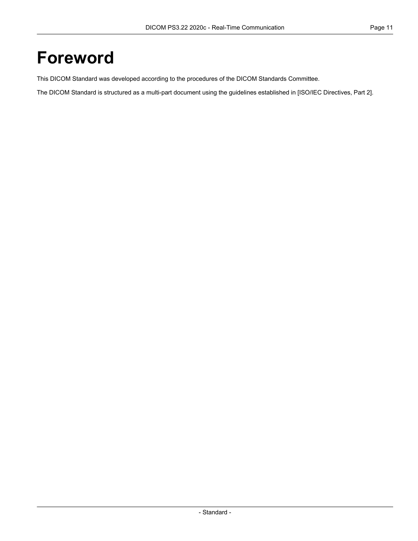# <span id="page-10-0"></span>**Foreword**

This DICOM Standard was developed according to the procedures of the DICOM Standards Committee.

The DICOM Standard is structured as a multi-part document using the guidelines established in [ISO/IEC [Directives,](#page-14-1) Part 2].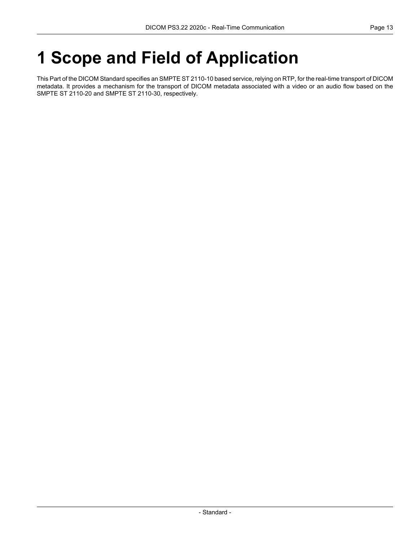# <span id="page-12-0"></span>**1 Scope and Field of Application**

This Part of the DICOM Standard specifies an SMPTE ST 2110-10 based service, relying on RTP, for the real-time transport of DICOM metadata. It provides a mechanism for the transport of DICOM metadata associated with a video or an audio flow based on the SMPTE ST 2110-20 and SMPTE ST 2110-30, respectively.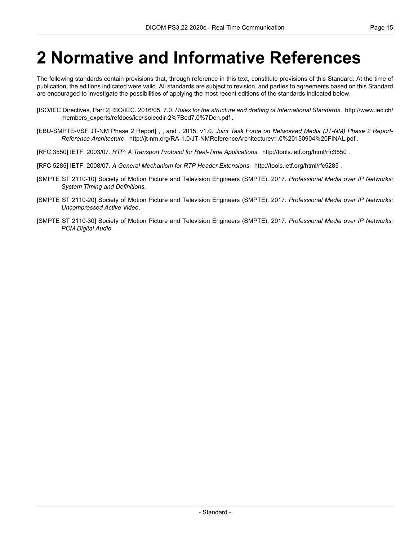## <span id="page-14-0"></span>**2 Normative and Informative References**

The following standards contain provisions that, through reference in this text, constitute provisions of this Standard. At the time of publication, the editions indicated were valid. All standards are subject to revision, and parties to agreements based on this Standard are encouraged to investigate the possibilities of applying the most recent editions of the standards indicated below.

- <span id="page-14-2"></span><span id="page-14-1"></span>[ISO/IEC Directives, Part 2] ISO/IEC. 2016/05. 7.0. *Rules for the structure and drafting of International Standards*. [http://www.iec.ch/](http://www.iec.ch/members_experts/refdocs/iec/isoiecdir-2%7Bed7.0%7Den.pdf) [members\\_experts/refdocs/iec/isoiecdir-2%7Bed7.0%7Den.pdf](http://www.iec.ch/members_experts/refdocs/iec/isoiecdir-2%7Bed7.0%7Den.pdf) .
- [EBU-SMPTE-VSF JT-NM Phase 2 Report] , , and . 2015. v1.0. *Joint Task Force on Networked Media (JT-NM) Phase 2 Report- Reference Architecture*. <http://jt-nm.org/RA-1.0/JT-NMReferenceArchitecturev1.0%20150904%20FINAL.pdf> .
- <span id="page-14-6"></span>[RFC 3550] IETF. 2003/07. *RTP: A Transport Protocol for Real-Time Applications*. <http://tools.ietf.org/html/rfc3550> .
- <span id="page-14-3"></span>[RFC 5285] IETF. 2008/07. *A General Mechanism for RTP Header Extensions*. <http://tools.ietf.org/html/rfc5285> .
- <span id="page-14-4"></span>[SMPTE ST 2110-10] Society of Motion Picture and Television Engineers (SMPTE). 2017. *Professional Media over IP Networks: System Timing and Definitions*.
- <span id="page-14-5"></span>[SMPTE ST 2110-20] Society of Motion Picture and Television Engineers (SMPTE). 2017. *Professional Media over IP Networks: Uncompressed Active Video*.
- [SMPTE ST 2110-30] Society of Motion Picture and Television Engineers (SMPTE). 2017. *Professional Media over IP Networks: PCM Digital Audio*.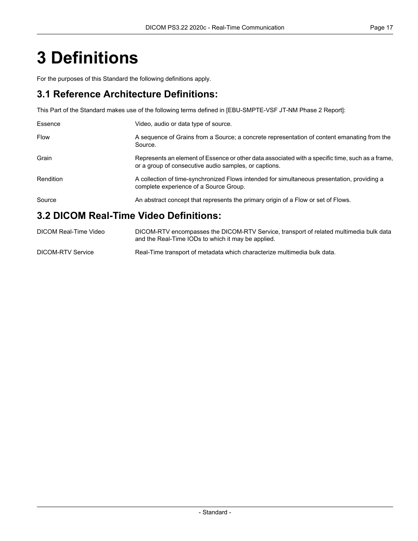# <span id="page-16-0"></span>**3 Definitions**

For the purposes of this Standard the following definitions apply.

#### **3.1 Reference Architecture Definitions:**

This Part of the Standard makes use of the following terms defined in [\[EBU-SMPTE-VSF](#page-14-2) JT-NM Phase 2 Report]:

| Essence                                | Video, audio or data type of source.                                                                                                                      |  |  |  |
|----------------------------------------|-----------------------------------------------------------------------------------------------------------------------------------------------------------|--|--|--|
| <b>Flow</b>                            | A sequence of Grains from a Source; a concrete representation of content emanating from the<br>Source.                                                    |  |  |  |
| Grain                                  | Represents an element of Essence or other data associated with a specific time, such as a frame,<br>or a group of consecutive audio samples, or captions. |  |  |  |
| Rendition                              | A collection of time-synchronized Flows intended for simultaneous presentation, providing a<br>complete experience of a Source Group.                     |  |  |  |
| Source                                 | An abstract concept that represents the primary origin of a Flow or set of Flows.                                                                         |  |  |  |
| 3.2 DICOM Real-Time Video Definitions: |                                                                                                                                                           |  |  |  |

#### DICOM Real-Time Video DICOM-RTV encompasses the DICOM-RTV Service, transport of related multimedia bulk data and the Real-Time IODs to which it may be applied. DICOM-RTV Service Real-Time transport of metadata which characterize multimedia bulk data.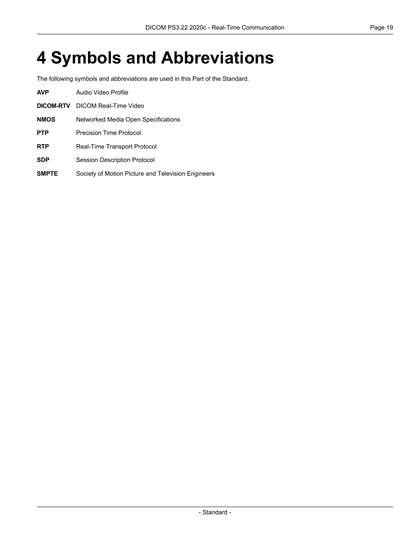# <span id="page-18-0"></span>**4 Symbols and Abbreviations**

The following symbols and abbreviations are used in this Part of the Standard.

| <b>AVP</b>   | Audio Video Profile                                |  |  |  |
|--------------|----------------------------------------------------|--|--|--|
| DICOM-RTV    | DICOM Real-Time Video                              |  |  |  |
| <b>NMOS</b>  | Networked Media Open Specifications                |  |  |  |
| <b>PTP</b>   | Precision Time Protocol                            |  |  |  |
| <b>RTP</b>   | Real-Time Transport Protocol                       |  |  |  |
| <b>SDP</b>   | <b>Session Description Protocol</b>                |  |  |  |
| <b>SMPTE</b> | Society of Motion Picture and Television Engineers |  |  |  |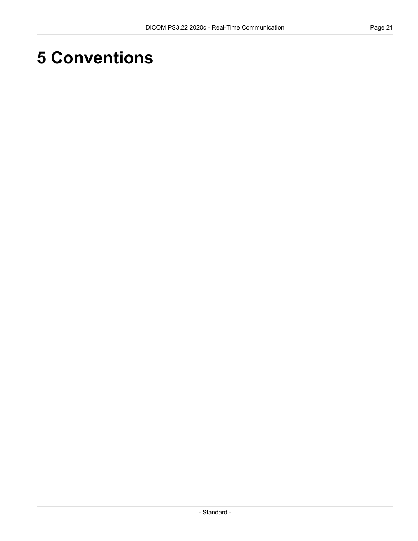# <span id="page-20-0"></span>**5 Conventions**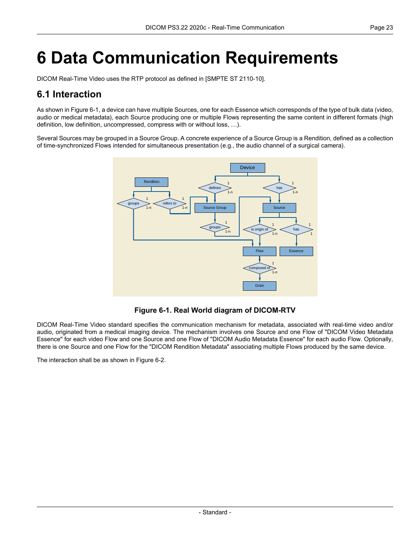# <span id="page-22-0"></span>**6 Data Communication Requirements**

<span id="page-22-1"></span>DICOM Real-Time Video uses the RTP protocol as defined in [SMPTE ST [2110-10\]](#page-14-3).

#### **6.1 Interaction**

As shown in [Figure](#page-22-2) 6-1, a device can have multiple Sources, one for each Essence which corresponds of the type of bulk data (video, audio or medical metadata), each Source producing one or multiple Flows representing the same content in different formats (high definition, low definition, uncompressed, compress with or without loss, …).

<span id="page-22-2"></span>Several Sources may be grouped in a Source Group. A concrete experience of a Source Group is a Rendition, defined as a collection of time-synchronized Flows intended for simultaneous presentation (e.g., the audio channel of a surgical camera).



**Figure 6-1. Real World diagram of DICOM-RTV**

DICOM Real-Time Video standard specifies the communication mechanism for metadata, associated with real-time video and/or audio, originated from a medical imaging device. The mechanism involves one Source and one Flow of "DICOM Video Metadata Essence" for each video Flow and one Source and one Flow of "DICOM Audio Metadata Essence" for each audio Flow. Optionally, there is one Source and one Flow for the "DICOM Rendition Metadata" associating multiple Flows produced by the same device.

The interaction shall be as shown in [Figure](#page-23-2) 6-2.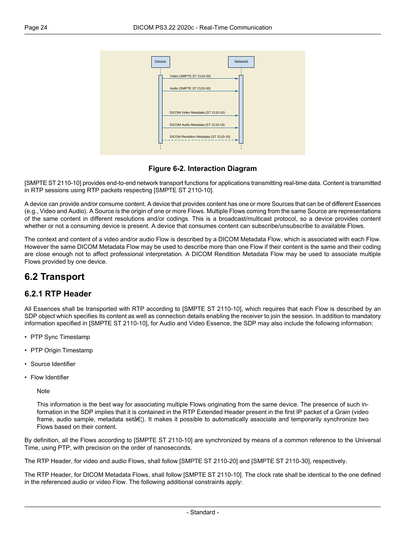<span id="page-23-2"></span>

**Figure 6-2. Interaction Diagram**

[SMPTE ST [2110-10\]](#page-14-3) provides end-to-end network transport functions for applications transmitting real-time data. Content is transmitted in RTP sessions using RTP packets respecting [SMPTE ST [2110-10\].](#page-14-3)

A device can provide and/or consume content. A device that provides content has one or more Sources that can be of different Essences (e.g., Video and Audio). A Source is the origin of one or more Flows. Multiple Flows coming from the same Source are representations of the same content in different resolutions and/or codings. This is a broadcast/multicast protocol, so a device provides content whether or not a consuming device is present. A device that consumes content can subscribe/unsubscribe to available Flows.

<span id="page-23-0"></span>The context and content of a video and/or audio Flow is described by a DICOM Metadata Flow, which is associated with each Flow. However the same DICOM Metadata Flow may be used to describe more than one Flow if their content is the same and their coding are close enough not to affect professional interpretation. A DICOM Rendition Metadata Flow may be used to associate multiple Flows provided by one device.

#### <span id="page-23-1"></span>**6.2 Transport**

#### **6.2.1 RTP Header**

All Essences shall be transported with RTP according to [SMPTE ST [2110-10\],](#page-14-3) which requires that each Flow is described by an SDP object which specifies its content as well as connection details enabling the receiver to join the session. In addition to mandatory information specified in [SMPTE ST [2110-10\],](#page-14-3) for Audio and Video Essence, the SDP may also include the following information:

- PTP Sync Timestamp
- PTP Origin Timestamp
- Source Identifier
- Flow Identifier

Note

This information is the best way for associating multiple Flows originating from the same device. The presence of such in formation in the SDP implies that it is contained in the RTP Extended Header present in the first IP packet of a Grain (video frame, audio sample, metadata setâ $\epsilon$ . It makes it possible to automatically associate and temporarily synchronize two Flows based on their content.

By definition, all the Flows according to [SMPTE ST [2110-10\]](#page-14-3) are synchronized by means of a common reference to the Universal Time, using PTP, with precision on the order of nanoseconds.

The RTP Header, for video and audio Flows, shall follow [SMPTE ST [2110-20\]](#page-14-4) and [SMPTE ST [2110-30\],](#page-14-5) respectively.

The RTP Header, for DICOM Metadata Flows, shall follow [SMPTE ST [2110-10\].](#page-14-3) The clock rate shall be identical to the one defined in the referenced audio or video Flow. The following additional constraints apply: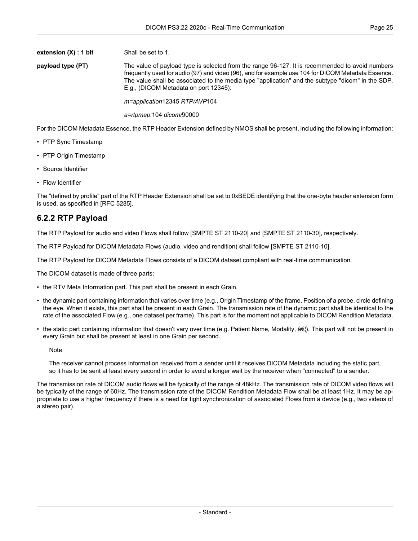**payload type (PT)** The value of payload type is selected from the range 96-127. It is recommended to avoid numbers frequently used for audio (97) and video (96), and for example use 104 for DICOM Metadata Essence. The value shall be associated to the media type "application" and the subtype "dicom" in the SDP. E.g., (DICOM Metadata on port 12345):

*m=application*12345 *RTP/AVP*104

#### *a=rtpmap:*104 *dicom/*90000

For the DICOM Metadata Essence, the RTP Header Extension defined by NMOS shall be present, including the following information:

- PTP Sync Timestamp
- PTP Origin Timestamp
- Source Identifier
- Flow Identifier

<span id="page-24-0"></span>The "defined by profile" part of the RTP Header Extension shall be set to 0xBEDE identifying that the one-byte header extension form is used, as specified in [RFC [5285\].](#page-14-6)

#### **6.2.2 RTP Payload**

The RTP Payload for audio and video Flows shall follow [SMPTE ST [2110-20\]](#page-14-4) and [SMPTE ST [2110-30\],](#page-14-5) respectively.

The RTP Payload for DICOM Metadata Flows (audio, video and rendition) shall follow [SMPTE ST [2110-10\]](#page-14-3).

The RTP Payload for DICOM Metadata Flows consists of a DICOM dataset compliant with real-time communication.

The DICOM dataset is made of three parts:

- the RTV Meta Information part. This part shall be present in each Grain.
- the dynamic part containing information that varies over time (e.g., Origin Timestamp of the frame, Position of a probe, circle defining the eye. When it exists, this part shall be present in each Grain. The transmission rate of the dynamic part shall be identical to the rate of the associated Flow (e.g., one dataset per frame). This part is for the moment not applicable to DICOM Rendition Metadata.
- the static part containing information that doesn't vary over time (e.g. Patient Name, Modality,  $\hat{a}\epsilon$ ). This part will not be present in every Grain but shall be present at least in one Grain per second.

**Note** 

The receiver cannot process information received from a sender until it receives DICOM Metadata including the static part, so it has to be sent at least every second in order to avoid a longer wait by the receiver when "connected" to a sender.

The transmission rate of DICOM audio flows will be typically of the range of 48kHz. The transmission rate of DICOM video flows will be typically of the range of 60Hz. The transmission rate of the DICOM Rendition Metadata Flow shall be at least 1Hz. It may be ap propriate to use a higher frequency if there is a need for tight synchronization of associated Flows from a device (e.g., two videos of a stereo pair).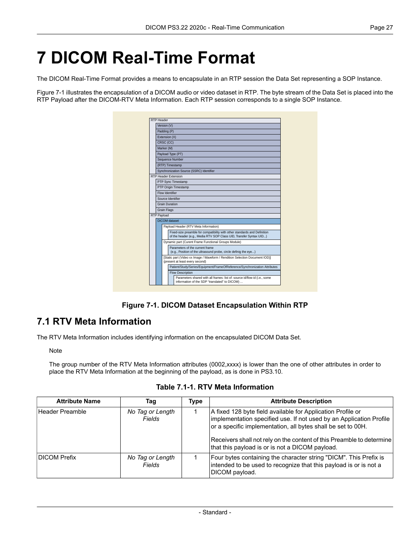## <span id="page-26-0"></span>**7 DICOM Real-Time Format**

The DICOM Real-Time Format provides a means to encapsulate in an RTP session the Data Set representing a SOP Instance.

<span id="page-26-2"></span>[Figure](#page-26-2) 7-1 illustrates the encapsulation of a DICOM audio or video dataset in RTP. The byte stream of the Data Set is placed into the RTP Payload after the DICOM-RTV Meta Information. Each RTP session corresponds to a single SOP Instance.

| RTP Header  |                                                                                                     |                                                                                                                                                 |                                                                                                                            |  |  |  |  |  |
|-------------|-----------------------------------------------------------------------------------------------------|-------------------------------------------------------------------------------------------------------------------------------------------------|----------------------------------------------------------------------------------------------------------------------------|--|--|--|--|--|
|             |                                                                                                     | Version (V)                                                                                                                                     |                                                                                                                            |  |  |  |  |  |
|             | Padding (P)                                                                                         |                                                                                                                                                 |                                                                                                                            |  |  |  |  |  |
|             | Extension (X)                                                                                       |                                                                                                                                                 |                                                                                                                            |  |  |  |  |  |
|             | CRSC (CC)                                                                                           |                                                                                                                                                 |                                                                                                                            |  |  |  |  |  |
|             | Marker (M)                                                                                          |                                                                                                                                                 |                                                                                                                            |  |  |  |  |  |
|             | Payload Type (PT)                                                                                   |                                                                                                                                                 |                                                                                                                            |  |  |  |  |  |
|             |                                                                                                     |                                                                                                                                                 | Sequence Number                                                                                                            |  |  |  |  |  |
|             |                                                                                                     |                                                                                                                                                 | (RTP) Timestamp                                                                                                            |  |  |  |  |  |
|             |                                                                                                     |                                                                                                                                                 | Synchronization Source (SSRC) Identifier                                                                                   |  |  |  |  |  |
|             |                                                                                                     |                                                                                                                                                 | RTP Header Extension                                                                                                       |  |  |  |  |  |
|             |                                                                                                     |                                                                                                                                                 | PTP Sync Timestamp                                                                                                         |  |  |  |  |  |
|             |                                                                                                     |                                                                                                                                                 | PTP Origin Timestamp                                                                                                       |  |  |  |  |  |
|             | Flow Identifier                                                                                     |                                                                                                                                                 |                                                                                                                            |  |  |  |  |  |
|             | Source Identifier                                                                                   |                                                                                                                                                 |                                                                                                                            |  |  |  |  |  |
|             | <b>Grain Duration</b>                                                                               |                                                                                                                                                 |                                                                                                                            |  |  |  |  |  |
|             | <b>Grain Flags</b>                                                                                  |                                                                                                                                                 |                                                                                                                            |  |  |  |  |  |
| RTP Payload |                                                                                                     |                                                                                                                                                 |                                                                                                                            |  |  |  |  |  |
|             | DICOM dataset                                                                                       |                                                                                                                                                 |                                                                                                                            |  |  |  |  |  |
|             |                                                                                                     |                                                                                                                                                 | Payload Header (RTV Meta Information)                                                                                      |  |  |  |  |  |
|             |                                                                                                     | Fixed-size preamble for compatibility with other standards and Definition<br>of the header (e.g., Media RTV SOP Class UID, Transfer Syntax UID) |                                                                                                                            |  |  |  |  |  |
|             | Dynamic part (Curent Frame Functional Groups Module)                                                |                                                                                                                                                 |                                                                                                                            |  |  |  |  |  |
|             | Parameters of the current frame<br>(e.g., Position of the ultrasound probe, circle definig the eye) |                                                                                                                                                 |                                                                                                                            |  |  |  |  |  |
|             |                                                                                                     |                                                                                                                                                 | [Static part (Video xx Image / Waveform / Rendition Selection Document IOD)]<br>(present at least every second)            |  |  |  |  |  |
|             |                                                                                                     |                                                                                                                                                 | Patient/Study/Series/Equipment/FrameOfReference/Synchronization Attributes                                                 |  |  |  |  |  |
|             |                                                                                                     |                                                                                                                                                 | Flow Description                                                                                                           |  |  |  |  |  |
|             |                                                                                                     |                                                                                                                                                 | Parameters shared with all frames: list of: source id/flow id (i.e., some<br>information of the SDP "translated" to DICOM) |  |  |  |  |  |

**Figure 7-1. DICOM Dataset Encapsulation Within RTP**

#### <span id="page-26-1"></span>**7.1 RTV Meta Information**

<span id="page-26-3"></span>The RTV Meta Information includes identifying information on the encapsulated DICOM Data Set.

Note

The group number of the RTV Meta Information attributes (0002,xxxx) is lower than the one of other attributes in order to place the RTV Meta Information at the beginning of the payload, as is done in [PS3.10.](part10.pdf#PS3.10)

**Table 7.1-1. RTV Meta Information**

| <b>Attribute Name</b> | Taq                        | Type | <b>Attribute Description</b>                                                                                                                                                                                                                                                                                                   |
|-----------------------|----------------------------|------|--------------------------------------------------------------------------------------------------------------------------------------------------------------------------------------------------------------------------------------------------------------------------------------------------------------------------------|
| Header Preamble       | No Tag or Length<br>Fields |      | A fixed 128 byte field available for Application Profile or<br>implementation specified use. If not used by an Application Profile<br>or a specific implementation, all bytes shall be set to 00H.<br>Receivers shall not rely on the content of this Preamble to determine<br>that this payload is or is not a DICOM payload. |
| <b>DICOM Prefix</b>   | No Tag or Length<br>Fields |      | Four bytes containing the character string "DICM". This Prefix is<br>intended to be used to recognize that this payload is or is not a<br>DICOM payload.                                                                                                                                                                       |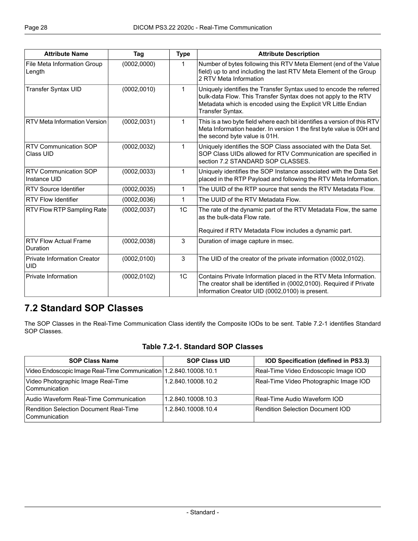| <b>Attribute Name</b>                            | Tag                                   | <b>Type</b>    | <b>Attribute Description</b>                                                                                                                                                                           |  |
|--------------------------------------------------|---------------------------------------|----------------|--------------------------------------------------------------------------------------------------------------------------------------------------------------------------------------------------------|--|
| File Meta Information Group<br>Length            | (0002, 0000)                          | $\mathbf{1}$   | Number of bytes following this RTV Meta Element (end of the Value<br>field) up to and including the last RTV Meta Element of the Group<br>2 RTV Meta Information                                       |  |
| <b>Transfer Syntax UID</b>                       | (0002, 0010)<br>1<br>Transfer Syntax. |                | Uniquely identifies the Transfer Syntax used to encode the referred<br>bulk-data Flow. This Transfer Syntax does not apply to the RTV<br>Metadata which is encoded using the Explicit VR Little Endian |  |
| <b>RTV Meta Information Version</b>              | (0002, 0031)                          | 1              | This is a two byte field where each bit identifies a version of this RTV<br>Meta Information header. In version 1 the first byte value is 00H and<br>the second byte value is 01H.                     |  |
| <b>RTV Communication SOP</b><br>Class UID        | (0002, 0032)                          | $\mathbf{1}$   | Uniquely identifies the SOP Class associated with the Data Set.<br>SOP Class UIDs allowed for RTV Communication are specified in<br>section 7.2 STANDARD SOP CLASSES.                                  |  |
| <b>RTV Communication SOP</b><br>Instance UID     | (0002, 0033)                          | 1              | Uniquely identifies the SOP Instance associated with the Data Set<br>placed in the RTP Payload and following the RTV Meta Information.                                                                 |  |
| <b>RTV Source Identifier</b>                     | (0002, 0035)                          | 1              | The UUID of the RTP source that sends the RTV Metadata Flow.                                                                                                                                           |  |
| <b>RTV Flow Identifier</b>                       | (0002, 0036)                          | $\mathbf 1$    | The UUID of the RTV Metadata Flow.                                                                                                                                                                     |  |
| RTV Flow RTP Sampling Rate                       | (0002, 0037)                          | 1 <sup>C</sup> | The rate of the dynamic part of the RTV Metadata Flow, the same<br>as the bulk-data Flow rate.<br>Required if RTV Metadata Flow includes a dynamic part.                                               |  |
| <b>RTV Flow Actual Frame</b><br>Duration         | (0002, 0038)                          | 3              | Duration of image capture in msec.                                                                                                                                                                     |  |
| <b>Private Information Creator</b><br><b>UID</b> | (0002, 0100)                          | $\mathbf{3}$   | The UID of the creator of the private information (0002,0102).                                                                                                                                         |  |
| Private Information                              | (0002, 0102)                          | 1 <sup>C</sup> | Contains Private Information placed in the RTV Meta Information.<br>The creator shall be identified in (0002,0100). Required if Private<br>Information Creator UID (0002,0100) is present.             |  |

#### <span id="page-27-1"></span><span id="page-27-0"></span>**7.2 Standard SOP Classes**

The SOP Classes in the Real-Time Communication Class identify the Composite IODs to be sent. [Table](#page-27-1) 7.2-1 identifies Standard SOP Classes.

#### **Table 7.2-1. Standard SOP Classes**

| <b>SOP Class Name</b>                                               | <b>SOP Class UID</b> | IOD Specification (defined in PS3.3)   |
|---------------------------------------------------------------------|----------------------|----------------------------------------|
| Video Endoscopic Image Real-Time Communication   1.2.840.10008.10.1 |                      | Real-Time Video Endoscopic Image IOD   |
| Video Photographic Image Real-Time<br>Communication                 | 1.2.840.10008.10.2   | Real-Time Video Photographic Image IOD |
| Audio Waveform Real-Time Communication                              | 1.2.840.10008.10.3   | Real-Time Audio Waveform IOD           |
| Rendition Selection Document Real-Time<br>l Communication           | 1.2.840.10008.10.4   | Rendition Selection Document IOD       |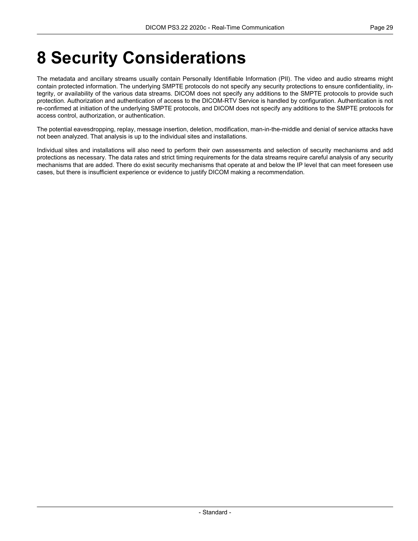## <span id="page-28-0"></span>**8 Security Considerations**

The metadata and ancillary streams usually contain Personally Identifiable Information (PII). The video and audio streams might contain protected information. The underlying SMPTE protocols do not specify any security protections to ensure confidentiality, in tegrity, or availability of the various data streams. DICOM does not specify any additions to the SMPTE protocols to provide such protection. Authorization and authentication of access to the DICOM-RTV Service is handled by configuration. Authentication is not re-confirmed at initiation of the underlying SMPTE protocols, and DICOM does not specify any additions to the SMPTE protocols for access control, authorization, or authentication.

The potential eavesdropping, replay, message insertion, deletion, modification, man-in-the-middle and denial of service attacks have not been analyzed. That analysis is up to the individual sites and installations.

Individual sites and installations will also need to perform their own assessments and selection of security mechanisms and add protections as necessary. The data rates and strict timing requirements for the data streams require careful analysis of any security mechanisms that are added. There do exist security mechanisms that operate at and below the IP level that can meet foreseen use cases, but there is insufficient experience or evidence to justify DICOM making a recommendation.